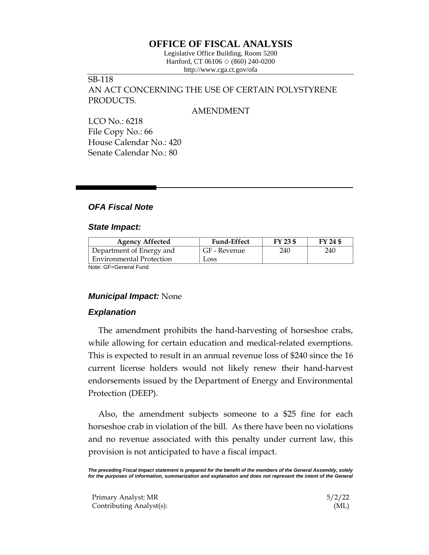## **OFFICE OF FISCAL ANALYSIS**

Legislative Office Building, Room 5200 Hartford, CT 06106  $\Diamond$  (860) 240-0200 http://www.cga.ct.gov/ofa

# SB-118

AN ACT CONCERNING THE USE OF CERTAIN POLYSTYRENE PRODUCTS.

#### AMENDMENT

LCO No.: 6218 File Copy No.: 66 House Calendar No.: 420 Senate Calendar No.: 80

## *OFA Fiscal Note*

## *State Impact:*

| <b>Agency Affected</b>          | <b>Fund-Effect</b> | FY 23 \$ | FY 24 \$ |
|---------------------------------|--------------------|----------|----------|
| Department of Energy and        | GF - Revenue       | 240      | 240      |
| <b>Environmental Protection</b> | Loss               |          |          |
| Note: CE-Conoral Eund           |                    |          |          |

Note: GF=General Fund

### *Municipal Impact:* None

### *Explanation*

The amendment prohibits the hand-harvesting of horseshoe crabs, while allowing for certain education and medical-related exemptions. This is expected to result in an annual revenue loss of \$240 since the 16 current license holders would not likely renew their hand-harvest endorsements issued by the Department of Energy and Environmental Protection (DEEP).

Also, the amendment subjects someone to a \$25 fine for each horseshoe crab in violation of the bill. As there have been no violations and no revenue associated with this penalty under current law, this provision is not anticipated to have a fiscal impact.

*The preceding Fiscal Impact statement is prepared for the benefit of the members of the General Assembly, solely*  for the purposes of information, summarization and explanation and does not represent the intent of the General

| Primary Analyst: MR      | 5/2/22 |
|--------------------------|--------|
| Contributing Analyst(s): | (ML)   |